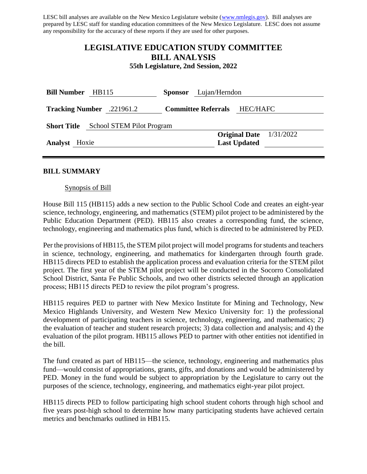LESC bill analyses are available on the New Mexico Legislature website [\(www.nmlegis.gov\)](http://www.nmlegis.gov/). Bill analyses are prepared by LESC staff for standing education committees of the New Mexico Legislature. LESC does not assume any responsibility for the accuracy of these reports if they are used for other purposes.

# **LEGISLATIVE EDUCATION STUDY COMMITTEE BILL ANALYSIS**

**55th Legislature, 2nd Session, 2022**

| <b>Bill Number</b>                           | HB115                            | Lujan/Herndon<br><b>Sponsor</b> |                            |                     |                           |
|----------------------------------------------|----------------------------------|---------------------------------|----------------------------|---------------------|---------------------------|
|                                              | <b>Tracking Number</b> .221961.2 |                                 | <b>Committee Referrals</b> | HEC/HAFC            |                           |
| <b>Short Title</b> School STEM Pilot Program |                                  |                                 |                            |                     |                           |
|                                              |                                  |                                 |                            |                     | Original Date $1/31/2022$ |
| <b>Analyst</b> Hoxie                         |                                  |                                 |                            | <b>Last Updated</b> |                           |
|                                              |                                  |                                 |                            |                     |                           |

#### **BILL SUMMARY**

#### Synopsis of Bill

House Bill 115 (HB115) adds a new section to the Public School Code and creates an eight-year science, technology, engineering, and mathematics (STEM) pilot project to be administered by the Public Education Department (PED). HB115 also creates a corresponding fund, the science, technology, engineering and mathematics plus fund, which is directed to be administered by PED.

Per the provisions of HB115, the STEM pilot project will model programs for students and teachers in science, technology, engineering, and mathematics for kindergarten through fourth grade. HB115 directs PED to establish the application process and evaluation criteria for the STEM pilot project. The first year of the STEM pilot project will be conducted in the Socorro Consolidated School District, Santa Fe Public Schools, and two other districts selected through an application process; HB115 directs PED to review the pilot program's progress.

HB115 requires PED to partner with New Mexico Institute for Mining and Technology, New Mexico Highlands University, and Western New Mexico University for: 1) the professional development of participating teachers in science, technology, engineering, and mathematics; 2) the evaluation of teacher and student research projects; 3) data collection and analysis; and 4) the evaluation of the pilot program. HB115 allows PED to partner with other entities not identified in the bill.

The fund created as part of HB115—the science, technology, engineering and mathematics plus fund—would consist of appropriations, grants, gifts, and donations and would be administered by PED. Money in the fund would be subject to appropriation by the Legislature to carry out the purposes of the science, technology, engineering, and mathematics eight-year pilot project.

HB115 directs PED to follow participating high school student cohorts through high school and five years post-high school to determine how many participating students have achieved certain metrics and benchmarks outlined in HB115.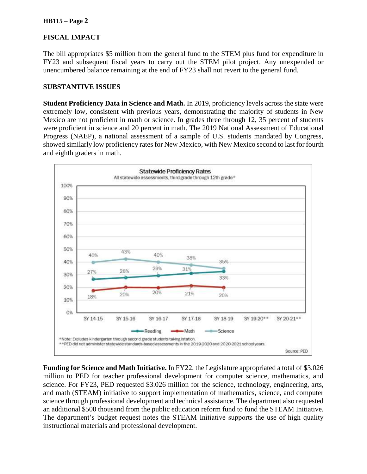#### **HB115 – Page 2**

### **FISCAL IMPACT**

The bill appropriates \$5 million from the general fund to the STEM plus fund for expenditure in FY23 and subsequent fiscal years to carry out the STEM pilot project. Any unexpended or unencumbered balance remaining at the end of FY23 shall not revert to the general fund.

#### **SUBSTANTIVE ISSUES**

**Student Proficiency Data in Science and Math.** In 2019, proficiency levels across the state were extremely low, consistent with previous years, demonstrating the majority of students in New Mexico are not proficient in math or science. In grades three through 12, 35 percent of students were proficient in science and 20 percent in math. The 2019 National Assessment of Educational Progress (NAEP), a national assessment of a sample of U.S. students mandated by Congress, showed similarly low proficiency rates for New Mexico, with New Mexico second to last for fourth and eighth graders in math.



**Funding for Science and Math Initiative.** In FY22, the Legislature appropriated a total of \$3.026 million to PED for teacher professional development for computer science, mathematics, and science. For FY23, PED requested \$3.026 million for the science, technology, engineering, arts, and math (STEAM) initiative to support implementation of mathematics, science, and computer science through professional development and technical assistance. The department also requested an additional \$500 thousand from the public education reform fund to fund the STEAM Initiative. The department's budget request notes the STEAM Initiative supports the use of high quality instructional materials and professional development.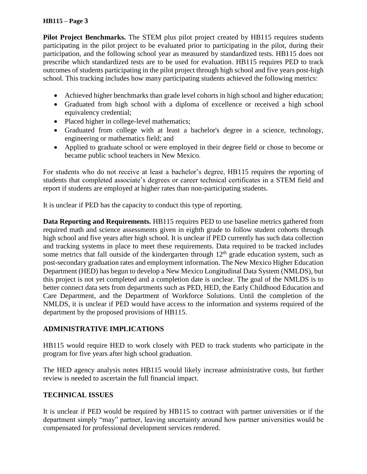### **HB115 – Page 3**

Pilot Project Benchmarks. The STEM plus pilot project created by HB115 requires students participating in the pilot project to be evaluated prior to participating in the pilot, during their participation, and the following school year as measured by standardized tests. HB115 does not prescribe which standardized tests are to be used for evaluation. HB115 requires PED to track outcomes of students participating in the pilot project through high school and five years post-high school. This tracking includes how many participating students achieved the following metrics:

- Achieved higher benchmarks than grade level cohorts in high school and higher education;
- Graduated from high school with a diploma of excellence or received a high school equivalency credential;
- Placed higher in college-level mathematics;
- Graduated from college with at least a bachelor's degree in a science, technology, engineering or mathematics field; and
- Applied to graduate school or were employed in their degree field or chose to become or became public school teachers in New Mexico.

For students who do not receive at least a bachelor's degree, HB115 requires the reporting of students that completed associate's degrees or career technical certificates in a STEM field and report if students are employed at higher rates than non-participating students.

It is unclear if PED has the capacity to conduct this type of reporting.

**Data Reporting and Requirements.** HB115 requires PED to use baseline metrics gathered from required math and science assessments given in eighth grade to follow student cohorts through high school and five years after high school. It is unclear if PED currently has such data collection and tracking systems in place to meet these requirements. Data required to be tracked includes some metrics that fall outside of the kindergarten through  $12<sup>th</sup>$  grade education system, such as post-secondary graduation rates and employment information. The New Mexico Higher Education Department (HED) has begun to develop a New Mexico Longitudinal Data System (NMLDS), but this project is not yet completed and a completion date is unclear. The goal of the NMLDS is to better connect data sets from departments such as PED, HED, the Early Childhood Education and Care Department, and the Department of Workforce Solutions. Until the completion of the NMLDS, it is unclear if PED would have access to the information and systems required of the department by the proposed provisions of HB115.

# **ADMINISTRATIVE IMPLICATIONS**

HB115 would require HED to work closely with PED to track students who participate in the program for five years after high school graduation.

The HED agency analysis notes HB115 would likely increase administrative costs, but further review is needed to ascertain the full financial impact.

# **TECHNICAL ISSUES**

It is unclear if PED would be required by HB115 to contract with partner universities or if the department simply "may" partner, leaving uncertainty around how partner universities would be compensated for professional development services rendered.